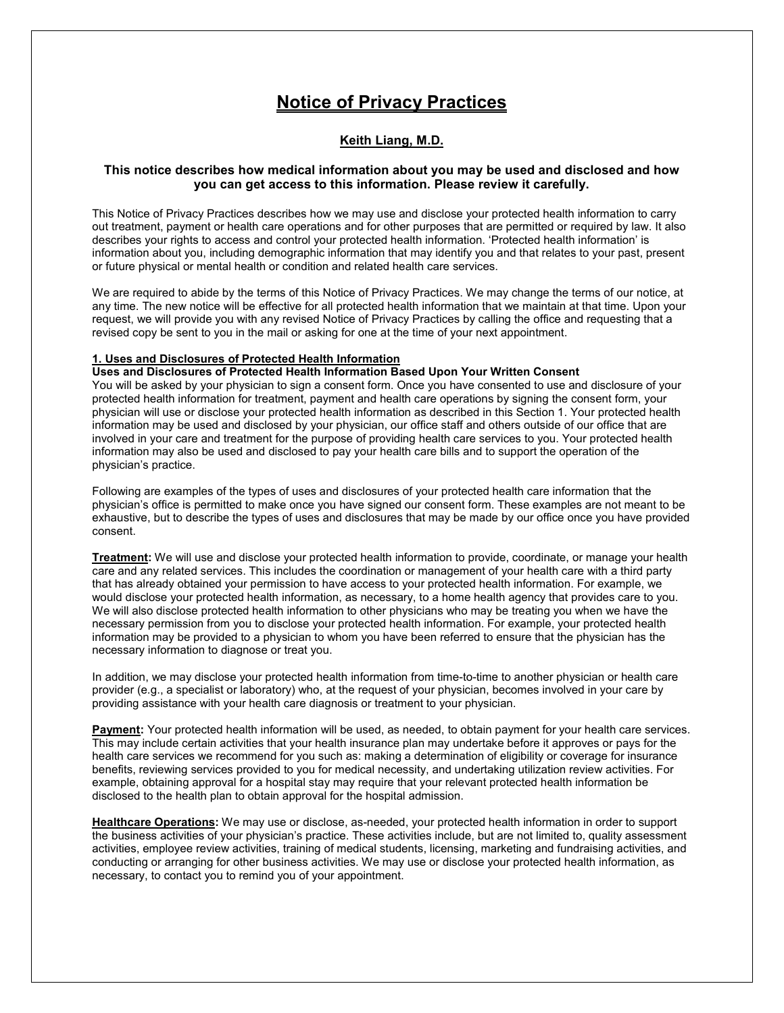# Notice of Privacy Practices

# Keith Liang, M.D.

## This notice describes how medical information about you may be used and disclosed and how you can get access to this information. Please review it carefully.

This Notice of Privacy Practices describes how we may use and disclose your protected health information to carry out treatment, payment or health care operations and for other purposes that are permitted or required by law. It also describes your rights to access and control your protected health information. 'Protected health information' is information about you, including demographic information that may identify you and that relates to your past, present or future physical or mental health or condition and related health care services.

We are required to abide by the terms of this Notice of Privacy Practices. We may change the terms of our notice, at any time. The new notice will be effective for all protected health information that we maintain at that time. Upon your request, we will provide you with any revised Notice of Privacy Practices by calling the office and requesting that a revised copy be sent to you in the mail or asking for one at the time of your next appointment.

### 1. Uses and Disclosures of Protected Health Information

#### Uses and Disclosures of Protected Health Information Based Upon Your Written Consent

You will be asked by your physician to sign a consent form. Once you have consented to use and disclosure of your protected health information for treatment, payment and health care operations by signing the consent form, your physician will use or disclose your protected health information as described in this Section 1. Your protected health information may be used and disclosed by your physician, our office staff and others outside of our office that are involved in your care and treatment for the purpose of providing health care services to you. Your protected health information may also be used and disclosed to pay your health care bills and to support the operation of the physician's practice.

Following are examples of the types of uses and disclosures of your protected health care information that the physician's office is permitted to make once you have signed our consent form. These examples are not meant to be exhaustive, but to describe the types of uses and disclosures that may be made by our office once you have provided consent.

Treatment: We will use and disclose your protected health information to provide, coordinate, or manage your health care and any related services. This includes the coordination or management of your health care with a third party that has already obtained your permission to have access to your protected health information. For example, we would disclose your protected health information, as necessary, to a home health agency that provides care to you. We will also disclose protected health information to other physicians who may be treating you when we have the necessary permission from you to disclose your protected health information. For example, your protected health information may be provided to a physician to whom you have been referred to ensure that the physician has the necessary information to diagnose or treat you.

In addition, we may disclose your protected health information from time-to-time to another physician or health care provider (e.g., a specialist or laboratory) who, at the request of your physician, becomes involved in your care by providing assistance with your health care diagnosis or treatment to your physician.

Payment: Your protected health information will be used, as needed, to obtain payment for your health care services. This may include certain activities that your health insurance plan may undertake before it approves or pays for the health care services we recommend for you such as: making a determination of eligibility or coverage for insurance benefits, reviewing services provided to you for medical necessity, and undertaking utilization review activities. For example, obtaining approval for a hospital stay may require that your relevant protected health information be disclosed to the health plan to obtain approval for the hospital admission.

Healthcare Operations: We may use or disclose, as-needed, your protected health information in order to support the business activities of your physician's practice. These activities include, but are not limited to, quality assessment activities, employee review activities, training of medical students, licensing, marketing and fundraising activities, and conducting or arranging for other business activities. We may use or disclose your protected health information, as necessary, to contact you to remind you of your appointment.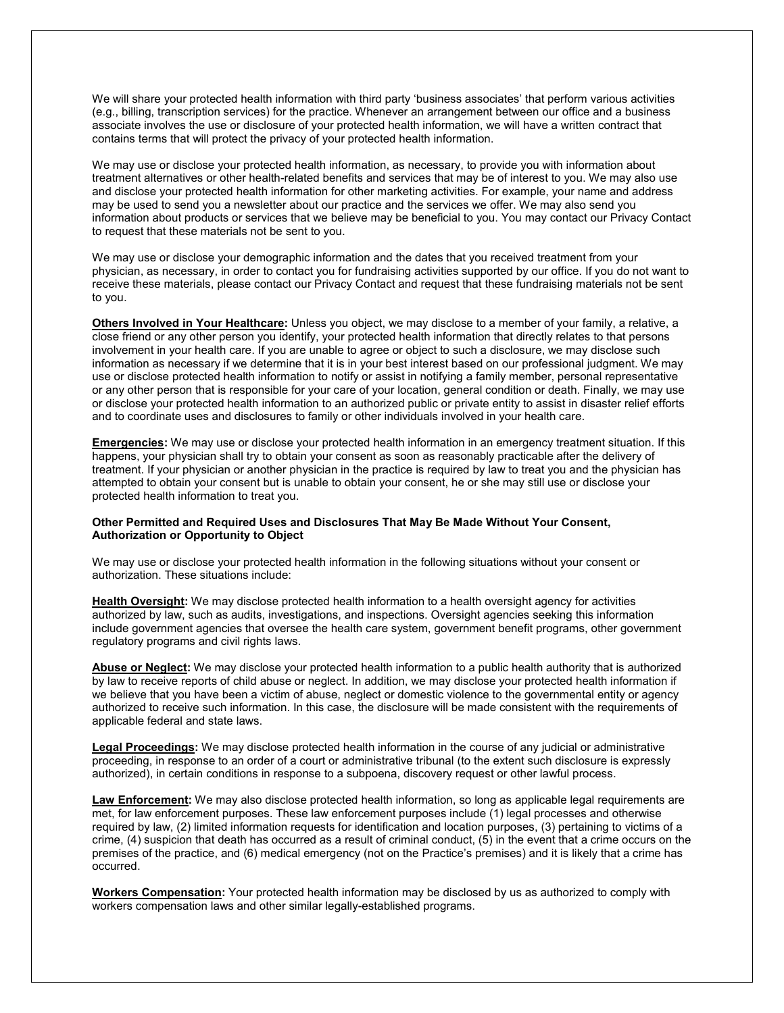We will share your protected health information with third party 'business associates' that perform various activities (e.g., billing, transcription services) for the practice. Whenever an arrangement between our office and a business associate involves the use or disclosure of your protected health information, we will have a written contract that contains terms that will protect the privacy of your protected health information.

We may use or disclose your protected health information, as necessary, to provide you with information about treatment alternatives or other health-related benefits and services that may be of interest to you. We may also use and disclose your protected health information for other marketing activities. For example, your name and address may be used to send you a newsletter about our practice and the services we offer. We may also send you information about products or services that we believe may be beneficial to you. You may contact our Privacy Contact to request that these materials not be sent to you.

We may use or disclose your demographic information and the dates that you received treatment from your physician, as necessary, in order to contact you for fundraising activities supported by our office. If you do not want to receive these materials, please contact our Privacy Contact and request that these fundraising materials not be sent to you.

Others Involved in Your Healthcare: Unless you object, we may disclose to a member of your family, a relative, a close friend or any other person you identify, your protected health information that directly relates to that persons involvement in your health care. If you are unable to agree or object to such a disclosure, we may disclose such information as necessary if we determine that it is in your best interest based on our professional judgment. We may use or disclose protected health information to notify or assist in notifying a family member, personal representative or any other person that is responsible for your care of your location, general condition or death. Finally, we may use or disclose your protected health information to an authorized public or private entity to assist in disaster relief efforts and to coordinate uses and disclosures to family or other individuals involved in your health care.

Emergencies: We may use or disclose your protected health information in an emergency treatment situation. If this happens, your physician shall try to obtain your consent as soon as reasonably practicable after the delivery of treatment. If your physician or another physician in the practice is required by law to treat you and the physician has attempted to obtain your consent but is unable to obtain your consent, he or she may still use or disclose your protected health information to treat you.

#### Other Permitted and Required Uses and Disclosures That May Be Made Without Your Consent, Authorization or Opportunity to Object

We may use or disclose your protected health information in the following situations without your consent or authorization. These situations include:

Health Oversight: We may disclose protected health information to a health oversight agency for activities authorized by law, such as audits, investigations, and inspections. Oversight agencies seeking this information include government agencies that oversee the health care system, government benefit programs, other government regulatory programs and civil rights laws.

Abuse or Neglect: We may disclose your protected health information to a public health authority that is authorized by law to receive reports of child abuse or neglect. In addition, we may disclose your protected health information if we believe that you have been a victim of abuse, neglect or domestic violence to the governmental entity or agency authorized to receive such information. In this case, the disclosure will be made consistent with the requirements of applicable federal and state laws.

Legal Proceedings: We may disclose protected health information in the course of any judicial or administrative proceeding, in response to an order of a court or administrative tribunal (to the extent such disclosure is expressly authorized), in certain conditions in response to a subpoena, discovery request or other lawful process.

Law Enforcement: We may also disclose protected health information, so long as applicable legal requirements are met, for law enforcement purposes. These law enforcement purposes include (1) legal processes and otherwise required by law, (2) limited information requests for identification and location purposes, (3) pertaining to victims of a crime, (4) suspicion that death has occurred as a result of criminal conduct, (5) in the event that a crime occurs on the premises of the practice, and (6) medical emergency (not on the Practice's premises) and it is likely that a crime has occurred.

Workers Compensation: Your protected health information may be disclosed by us as authorized to comply with workers compensation laws and other similar legally-established programs.